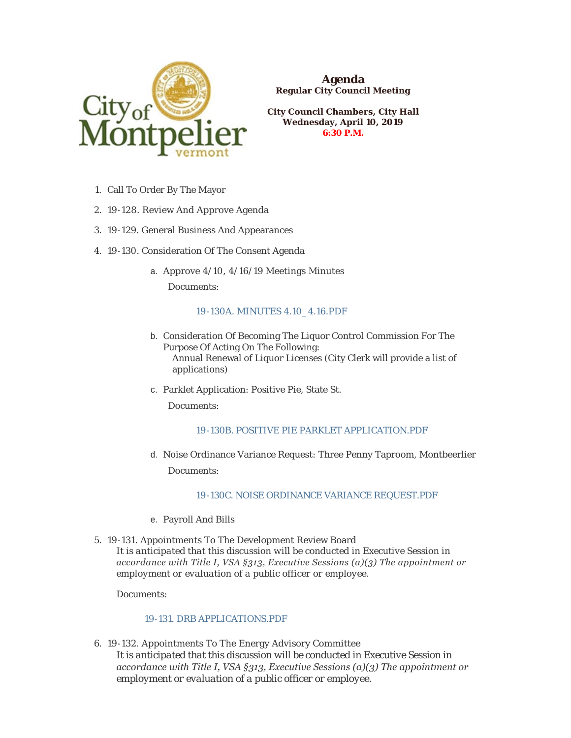

**Agenda Regular City Council Meeting**

**City Council Chambers, City Hall Wednesday, April 10, 2019 6:30 P.M.**

- 1. Call To Order By The Mayor
- 19-128. Review And Approve Agenda 2.
- 19-129. General Business And Appearances 3.
- 4. 19-130. Consideration Of The Consent Agenda
	- Approve 4/10, 4/16/19 Meetings Minutes a.

Documents:

#### [19-130A. MINUTES 4.10\\_4.16.PDF](https://www.montpelier-vt.org/AgendaCenter/ViewFile/Item/1397?fileID=10303)

- b. Consideration Of Becoming The Liquor Control Commission For The Purpose Of Acting On The Following: Annual Renewal of Liquor Licenses (City Clerk will provide a list of applications)
- c. Parklet Application: Positive Pie, State St.

Documents:

#### [19-130B. POSITIVE PIE PARKLET APPLICATION.PDF](https://www.montpelier-vt.org/AgendaCenter/ViewFile/Item/1398?fileID=10278)

d. Noise Ordinance Variance Request: Three Penny Taproom, Montbeerlier

Documents:

# [19-130C. NOISE ORDINANCE VARIANCE REQUEST.PDF](https://www.montpelier-vt.org/AgendaCenter/ViewFile/Item/1399?fileID=10285)

- e. Payroll And Bills
- 19-131. Appointments To The Development Review Board 5. *It is anticipated that this discussion will be conducted in Executive Session in accordance with Title I, VSA §313, Executive Sessions (a)(3) The appointment or employment or evaluation of a public officer or employee.*

Documents:

#### [19-131. DRB APPLICATIONS.PDF](https://www.montpelier-vt.org/AgendaCenter/ViewFile/Item/1402?fileID=10265)

19-132. Appointments To The Energy Advisory Committee 6. *It is anticipated that this discussion will be conducted in Executive Session in accordance with Title I, VSA §313, Executive Sessions (a)(3) The appointment or employment or evaluation of a public officer or employee.*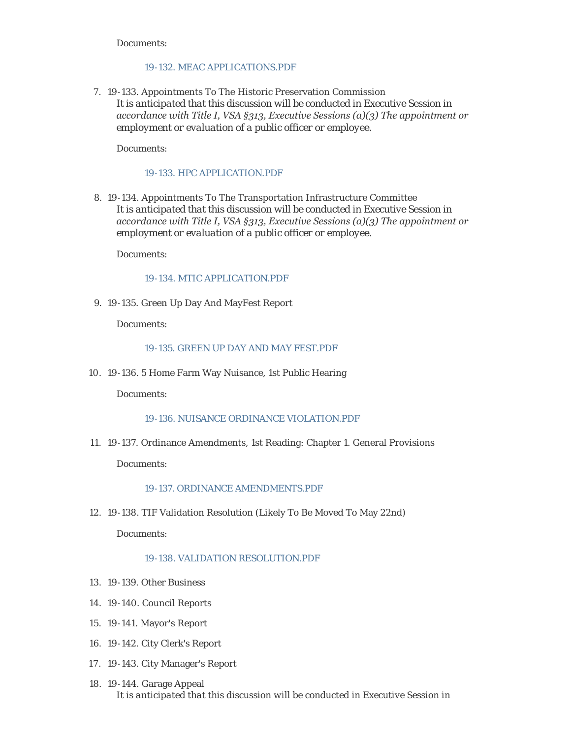Documents:

## [19-132. MEAC APPLICATIONS.PDF](https://www.montpelier-vt.org/AgendaCenter/ViewFile/Item/1403?fileID=10330)

7. 19-133. Appointments To The Historic Preservation Commission *It is anticipated that this discussion will be conducted in Executive Session in accordance with Title I, VSA §313, Executive Sessions (a)(3) The appointment or employment or evaluation of a public officer or employee.*

Documents:

## [19-133. HPC APPLICATION.PDF](https://www.montpelier-vt.org/AgendaCenter/ViewFile/Item/1405?fileID=10280)

19-134. Appointments To The Transportation Infrastructure Committee 8. *It is anticipated that this discussion will be conducted in Executive Session in accordance with Title I, VSA §313, Executive Sessions (a)(3) The appointment or employment or evaluation of a public officer or employee.*

Documents:

#### [19-134. MTIC APPLICATION.PDF](https://www.montpelier-vt.org/AgendaCenter/ViewFile/Item/1404?fileID=10281)

19-135. Green Up Day And MayFest Report 9.

Documents:

# 19-135. GREEN UP DAY AND MAY FEST PDF

19-136. 5 Home Farm Way Nuisance, 1st Public Hearing 10.

Documents:

#### [19-136. NUISANCE ORDINANCE VIOLATION.PDF](https://www.montpelier-vt.org/AgendaCenter/ViewFile/Item/1408?fileID=10332)

19-137. Ordinance Amendments, 1st Reading: Chapter 1. General Provisions 11.

Documents:

#### [19-137. ORDINANCE AMENDMENTS.PDF](https://www.montpelier-vt.org/AgendaCenter/ViewFile/Item/1409?fileID=10331)

19-138. TIF Validation Resolution (Likely To Be Moved To May 22nd) 12.

Documents:

#### [19-138. VALIDATION RESOLUTION.PDF](https://www.montpelier-vt.org/AgendaCenter/ViewFile/Item/1411?fileID=10302)

- 19-139. Other Business 13.
- 19-140. Council Reports 14.
- 19-141. Mayor's Report 15.
- 19-142. City Clerk's Report 16.
- 19-143. City Manager's Report 17.
- 19-144. Garage Appeal 18. *It is anticipated that this discussion will be conducted in Executive Session in*